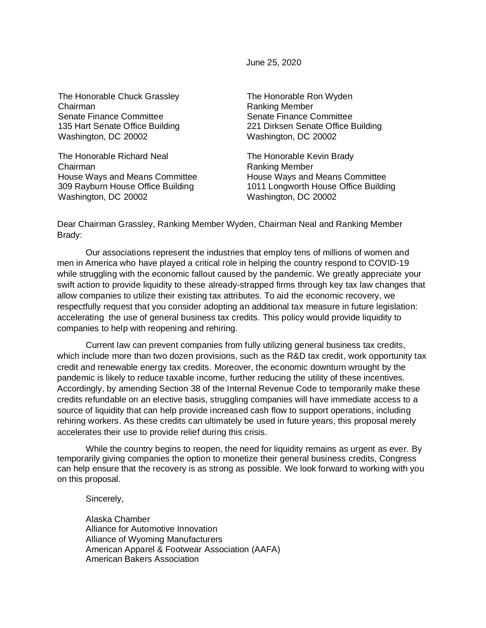June 25, 2020

The Honorable Chuck Grassley Chairman Senate Finance Committee 135 Hart Senate Office Building Washington, DC 20002

The Honorable Richard Neal Chairman House Ways and Means Committee 309 Rayburn House Office Building Washington, DC 20002

The Honorable Ron Wyden Ranking Member Senate Finance Committee 221 Dirksen Senate Office Building Washington, DC 20002

The Honorable Kevin Brady Ranking Member House Ways and Means Committee 1011 Longworth House Office Building Washington, DC 20002

Dear Chairman Grassley, Ranking Member Wyden, Chairman Neal and Ranking Member Brady:

Our associations represent the industries that employ tens of millions of women and men in America who have played a critical role in helping the country respond to COVID-19 while struggling with the economic fallout caused by the pandemic. We greatly appreciate your swift action to provide liquidity to these already-strapped firms through key tax law changes that allow companies to utilize their existing tax attributes. To aid the economic recovery, we respectfully request that you consider adopting an additional tax measure in future legislation: accelerating the use of general business tax credits. This policy would provide liquidity to companies to help with reopening and rehiring.

Current law can prevent companies from fully utilizing general business tax credits, which include more than two dozen provisions, such as the R&D tax credit, work opportunity tax credit and renewable energy tax credits. Moreover, the economic downturn wrought by the pandemic is likely to reduce taxable income, further reducing the utility of these incentives. Accordingly, by amending Section 38 of the Internal Revenue Code to temporarily make these credits refundable on an elective basis, struggling companies will have immediate access to a source of liquidity that can help provide increased cash flow to support operations, including rehiring workers. As these credits can ultimately be used in future years, this proposal merely accelerates their use to provide relief during this crisis.

While the country begins to reopen, the need for liquidity remains as urgent as ever. By temporarily giving companies the option to monetize their general business credits, Congress can help ensure that the recovery is as strong as possible. We look forward to working with you on this proposal.

Sincerely,

Alaska Chamber Alliance for Automotive Innovation Alliance of Wyoming Manufacturers American Apparel & Footwear Association (AAFA) American Bakers Association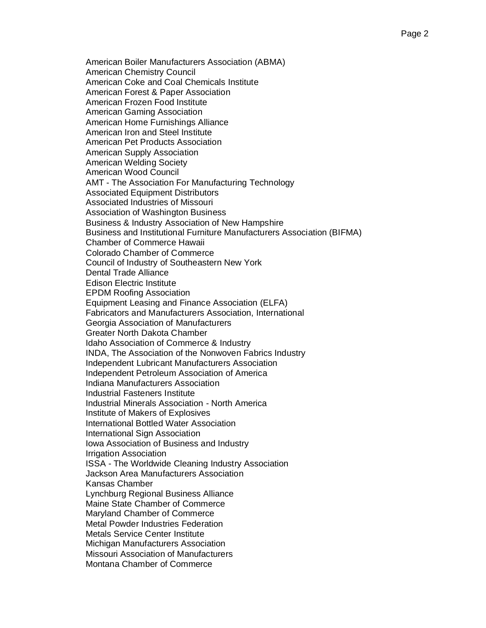American Boiler Manufacturers Association (ABMA) American Chemistry Council American Coke and Coal Chemicals Institute American Forest & Paper Association American Frozen Food Institute American Gaming Association American Home Furnishings Alliance American Iron and Steel Institute American Pet Products Association American Supply Association American Welding Society American Wood Council AMT - The Association For Manufacturing Technology Associated Equipment Distributors Associated Industries of Missouri Association of Washington Business Business & Industry Association of New Hampshire Business and Institutional Furniture Manufacturers Association (BIFMA) Chamber of Commerce Hawaii Colorado Chamber of Commerce Council of Industry of Southeastern New York Dental Trade Alliance Edison Electric Institute EPDM Roofing Association Equipment Leasing and Finance Association (ELFA) Fabricators and Manufacturers Association, International Georgia Association of Manufacturers Greater North Dakota Chamber Idaho Association of Commerce & Industry INDA, The Association of the Nonwoven Fabrics Industry Independent Lubricant Manufacturers Association Independent Petroleum Association of America Indiana Manufacturers Association Industrial Fasteners Institute Industrial Minerals Association - North America Institute of Makers of Explosives International Bottled Water Association International Sign Association Iowa Association of Business and Industry Irrigation Association ISSA - The Worldwide Cleaning Industry Association Jackson Area Manufacturers Association Kansas Chamber Lynchburg Regional Business Alliance Maine State Chamber of Commerce Maryland Chamber of Commerce Metal Powder Industries Federation Metals Service Center Institute Michigan Manufacturers Association Missouri Association of Manufacturers Montana Chamber of Commerce